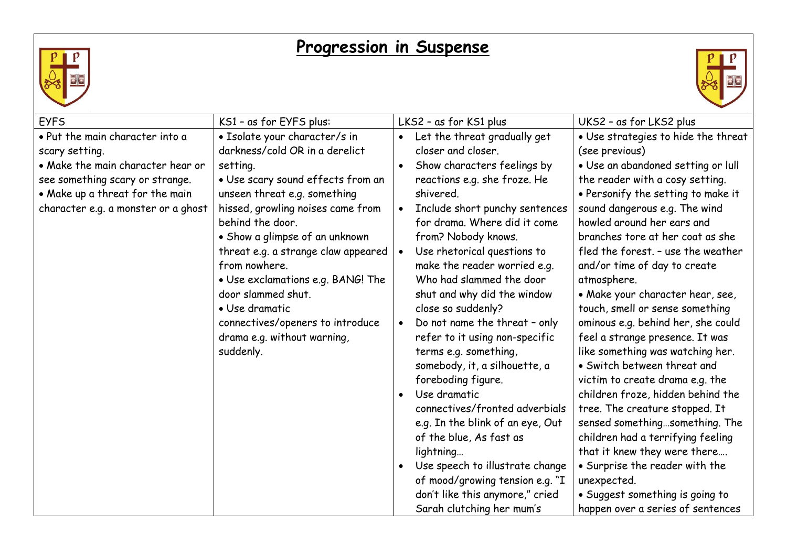## **Progression in Suspense**





| <b>EYFS</b>                                                                                               | KS1 - as for EYFS plus:                                                                                                                                                                                                                                   | LKS2 - as for KS1 plus                                                                                                                                                                                                                                        | UKS2 - as for LKS2 plus                                                                                                                                                                                                                                                                 |
|-----------------------------------------------------------------------------------------------------------|-----------------------------------------------------------------------------------------------------------------------------------------------------------------------------------------------------------------------------------------------------------|---------------------------------------------------------------------------------------------------------------------------------------------------------------------------------------------------------------------------------------------------------------|-----------------------------------------------------------------------------------------------------------------------------------------------------------------------------------------------------------------------------------------------------------------------------------------|
| • Put the main character into a<br>scary setting.<br>• Make the main character hear or                    | · Isolate your character/s in<br>darkness/cold OR in a derelict<br>setting.                                                                                                                                                                               | Let the threat gradually get<br>$\bullet$<br>closer and closer.<br>Show characters feelings by<br>$\bullet$                                                                                                                                                   | . Use strategies to hide the threat<br>(see previous)<br>. Use an abandoned setting or lull                                                                                                                                                                                             |
| see something scary or strange.<br>• Make up a threat for the main<br>character e.g. a monster or a ghost | • Use scary sound effects from an<br>unseen threat e.g. something<br>hissed, growling noises came from<br>behind the door.<br>• Show a glimpse of an unknown<br>threat e.g. a strange claw appeared<br>from nowhere.<br>· Use exclamations e.g. BANG! The | reactions e.g. she froze. He<br>shivered.<br>Include short punchy sentences<br>$\bullet$<br>for drama. Where did it come<br>from? Nobody knows.<br>Use rhetorical questions to<br>$\bullet$<br>make the reader worried e.g.<br>Who had slammed the door       | the reader with a cosy setting.<br>• Personify the setting to make it<br>sound dangerous e.g. The wind<br>howled around her ears and<br>branches tore at her coat as she<br>fled the forest. - use the weather<br>and/or time of day to create<br>atmosphere.                           |
|                                                                                                           | door slammed shut.<br>• Use dramatic<br>connectives/openers to introduce<br>drama e.g. without warning,<br>suddenly.                                                                                                                                      | shut and why did the window<br>close so suddenly?<br>Do not name the threat - only<br>$\bullet$<br>refer to it using non-specific<br>terms e.g. something,<br>somebody, it, a silhouette, a<br>foreboding figure.<br>Use dramatic<br>$\bullet$                | • Make your character hear, see,<br>touch, smell or sense something<br>ominous e.g. behind her, she could<br>feel a strange presence. It was<br>like something was watching her.<br>• Switch between threat and<br>victim to create drama e.g. the<br>children froze, hidden behind the |
|                                                                                                           |                                                                                                                                                                                                                                                           | connectives/fronted adverbials<br>e.g. In the blink of an eye, Out<br>of the blue, As fast as<br>lightning<br>Use speech to illustrate change<br>$\bullet$<br>of mood/growing tension e.g. "I<br>don't like this anymore," cried<br>Sarah clutching her mum's | tree. The creature stopped. It<br>sensed somethingsomething. The<br>children had a terrifying feeling<br>that it knew they were there<br>• Surprise the reader with the<br>unexpected.<br>• Suggest something is going to<br>happen over a series of sentences                          |